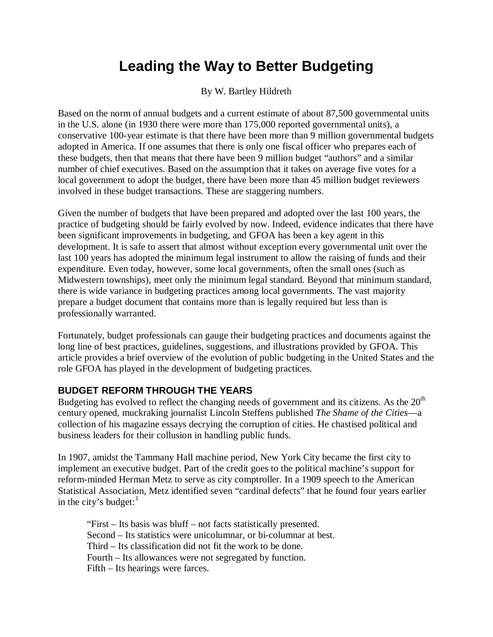# **Leading the Way to Better Budgeting**

By W. Bartley Hildreth

Based on the norm of annual budgets and a current estimate of about 87,500 governmental units in the U.S. alone (in 1930 there were more than 175,000 reported governmental units), a conservative 100-year estimate is that there have been more than 9 million governmental budgets adopted in America. If one assumes that there is only one fiscal officer who prepares each of these budgets, then that means that there have been 9 million budget "authors" and a similar number of chief executives. Based on the assumption that it takes on average five votes for a local government to adopt the budget, there have been more than 45 million budget reviewers involved in these budget transactions. These are staggering numbers.

Given the number of budgets that have been prepared and adopted over the last 100 years, the practice of budgeting should be fairly evolved by now. Indeed, evidence indicates that there have been significant improvements in budgeting, and GFOA has been a key agent in this development. It is safe to assert that almost without exception every governmental unit over the last 100 years has adopted the minimum legal instrument to allow the raising of funds and their expenditure. Even today, however, some local governments, often the small ones (such as Midwestern townships), meet only the minimum legal standard. Beyond that minimum standard, there is wide variance in budgeting practices among local governments. The vast majority prepare a budget document that contains more than is legally required but less than is professionally warranted.

Fortunately, budget professionals can gauge their budgeting practices and documents against the long line of best practices, guidelines, suggestions, and illustrations provided by GFOA. This article provides a brief overview of the evolution of public budgeting in the United States and the role GFOA has played in the development of budgeting practices.

# **BUDGET REFORM THROUGH THE YEARS**

Budgeting has evolved to reflect the changing needs of government and its citizens. As the  $20<sup>th</sup>$ century opened, muckraking journalist Lincoln Steffens published *The Shame of the Cities*—a collection of his magazine essays decrying the corruption of cities. He chastised political and business leaders for their collusion in handling public funds.

In 1907, amidst the Tammany Hall machine period, New York City became the first city to implement an executive budget. Part of the credit goes to the political machine's support for reform-minded Herman Metz to serve as city comptroller. In a 1909 speech to the American Statistical Association, Metz identified seven "cardinal defects" that he found four years earlier in the city's budget: $<sup>1</sup>$  $<sup>1</sup>$  $<sup>1</sup>$ </sup>

"First – Its basis was bluff – not facts statistically presented. Second – Its statistics were unicolumnar, or bi-columnar at best. Third – Its classification did not fit the work to be done. Fourth – Its allowances were not segregated by function. Fifth – Its hearings were farces.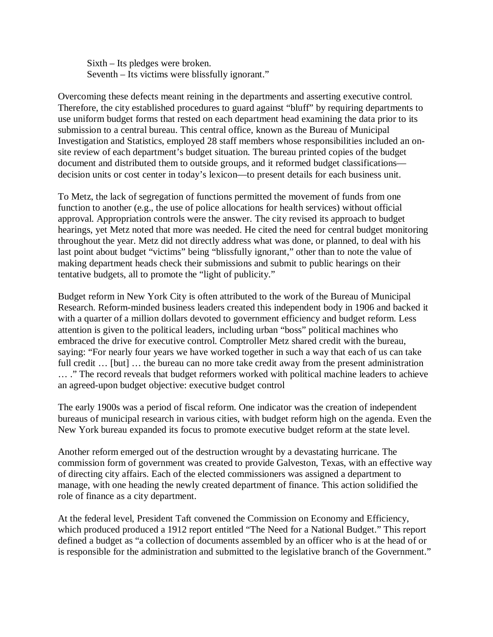Sixth – Its pledges were broken. Seventh – Its victims were blissfully ignorant."

Overcoming these defects meant reining in the departments and asserting executive control. Therefore, the city established procedures to guard against "bluff" by requiring departments to use uniform budget forms that rested on each department head examining the data prior to its submission to a central bureau. This central office, known as the Bureau of Municipal Investigation and Statistics, employed 28 staff members whose responsibilities included an onsite review of each department's budget situation. The bureau printed copies of the budget document and distributed them to outside groups, and it reformed budget classifications decision units or cost center in today's lexicon—to present details for each business unit.

To Metz, the lack of segregation of functions permitted the movement of funds from one function to another (e.g., the use of police allocations for health services) without official approval. Appropriation controls were the answer. The city revised its approach to budget hearings, yet Metz noted that more was needed. He cited the need for central budget monitoring throughout the year. Metz did not directly address what was done, or planned, to deal with his last point about budget "victims" being "blissfully ignorant," other than to note the value of making department heads check their submissions and submit to public hearings on their tentative budgets, all to promote the "light of publicity."

Budget reform in New York City is often attributed to the work of the Bureau of Municipal Research. Reform-minded business leaders created this independent body in 1906 and backed it with a quarter of a million dollars devoted to government efficiency and budget reform. Less attention is given to the political leaders, including urban "boss" political machines who embraced the drive for executive control. Comptroller Metz shared credit with the bureau, saying: "For nearly four years we have worked together in such a way that each of us can take full credit ... [but] ... the bureau can no more take credit away from the present administration … ." The record reveals that budget reformers worked with political machine leaders to achieve an agreed-upon budget objective: executive budget control

The early 1900s was a period of fiscal reform. One indicator was the creation of independent bureaus of municipal research in various cities, with budget reform high on the agenda. Even the New York bureau expanded its focus to promote executive budget reform at the state level.

Another reform emerged out of the destruction wrought by a devastating hurricane. The commission form of government was created to provide Galveston, Texas, with an effective way of directing city affairs. Each of the elected commissioners was assigned a department to manage, with one heading the newly created department of finance. This action solidified the role of finance as a city department.

At the federal level, President Taft convened the Commission on Economy and Efficiency, which produced produced a 1912 report entitled "The Need for a National Budget." This report defined a budget as "a collection of documents assembled by an officer who is at the head of or is responsible for the administration and submitted to the legislative branch of the Government."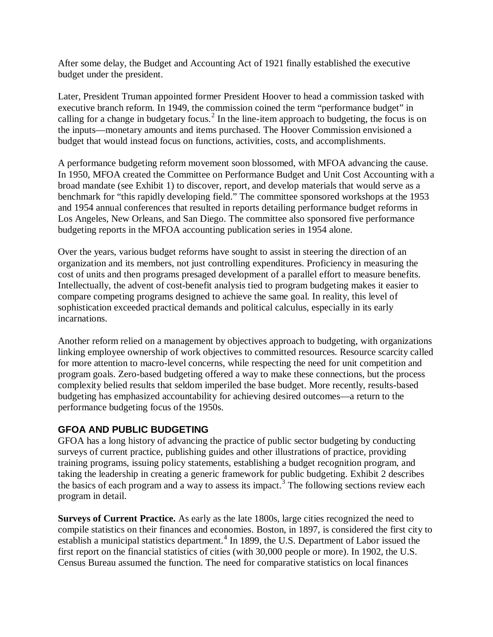After some delay, the Budget and Accounting Act of 1921 finally established the executive budget under the president.

Later, President Truman appointed former President Hoover to head a commission tasked with executive branch reform. In 1949, the commission coined the term "performance budget" in calling for a change in budgetary focus.<sup>[2](#page-14-1)</sup> In the line-item approach to budgeting, the focus is on the inputs—monetary amounts and items purchased. The Hoover Commission envisioned a budget that would instead focus on functions, activities, costs, and accomplishments.

A performance budgeting reform movement soon blossomed, with MFOA advancing the cause. In 1950, MFOA created the Committee on Performance Budget and Unit Cost Accounting with a broad mandate (see Exhibit 1) to discover, report, and develop materials that would serve as a benchmark for "this rapidly developing field." The committee sponsored workshops at the 1953 and 1954 annual conferences that resulted in reports detailing performance budget reforms in Los Angeles, New Orleans, and San Diego. The committee also sponsored five performance budgeting reports in the MFOA accounting publication series in 1954 alone.

Over the years, various budget reforms have sought to assist in steering the direction of an organization and its members, not just controlling expenditures. Proficiency in measuring the cost of units and then programs presaged development of a parallel effort to measure benefits. Intellectually, the advent of cost-benefit analysis tied to program budgeting makes it easier to compare competing programs designed to achieve the same goal. In reality, this level of sophistication exceeded practical demands and political calculus, especially in its early incarnations.

Another reform relied on a management by objectives approach to budgeting, with organizations linking employee ownership of work objectives to committed resources. Resource scarcity called for more attention to macro-level concerns, while respecting the need for unit competition and program goals. Zero-based budgeting offered a way to make these connections, but the process complexity belied results that seldom imperiled the base budget. More recently, results-based budgeting has emphasized accountability for achieving desired outcomes—a return to the performance budgeting focus of the 1950s.

# **GFOA AND PUBLIC BUDGETING**

GFOA has a long history of advancing the practice of public sector budgeting by conducting surveys of current practice, publishing guides and other illustrations of practice, providing training programs, issuing policy statements, establishing a budget recognition program, and taking the leadership in creating a generic framework for public budgeting. Exhibit 2 describes the basics of each program and a way to assess its impact.<sup>[3](#page-14-2)</sup> The following sections review each program in detail.

**Surveys of Current Practice.** As early as the late 1800s, large cities recognized the need to compile statistics on their finances and economies. Boston, in 1897, is considered the first city to establish a municipal statistics department.<sup>[4](#page-14-3)</sup> In 1899, the U.S. Department of Labor issued the first report on the financial statistics of cities (with 30,000 people or more). In 1902, the U.S. Census Bureau assumed the function. The need for comparative statistics on local finances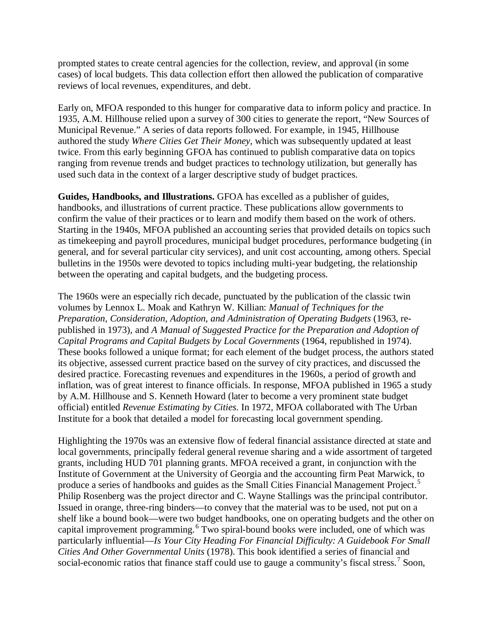prompted states to create central agencies for the collection, review, and approval (in some cases) of local budgets. This data collection effort then allowed the publication of comparative reviews of local revenues, expenditures, and debt.

Early on, MFOA responded to this hunger for comparative data to inform policy and practice. In 1935, A.M. Hillhouse relied upon a survey of 300 cities to generate the report, "New Sources of Municipal Revenue." A series of data reports followed. For example, in 1945, Hillhouse authored the study *Where Cities Get Their Money*, which was subsequently updated at least twice. From this early beginning GFOA has continued to publish comparative data on topics ranging from revenue trends and budget practices to technology utilization, but generally has used such data in the context of a larger descriptive study of budget practices.

**Guides, Handbooks, and Illustrations.** GFOA has excelled as a publisher of guides, handbooks, and illustrations of current practice. These publications allow governments to confirm the value of their practices or to learn and modify them based on the work of others. Starting in the 1940s, MFOA published an accounting series that provided details on topics such as timekeeping and payroll procedures, municipal budget procedures, performance budgeting (in general, and for several particular city services), and unit cost accounting, among others. Special bulletins in the 1950s were devoted to topics including multi-year budgeting, the relationship between the operating and capital budgets, and the budgeting process.

The 1960s were an especially rich decade, punctuated by the publication of the classic twin volumes by Lennox L. Moak and Kathryn W. Killian: *Manual of Techniques for the Preparation, Consideration, Adoption, and Administration of Operating Budgets* (1963, republished in 1973), and *A Manual of Suggested Practice for the Preparation and Adoption of Capital Programs and Capital Budgets by Local Governments* (1964, republished in 1974). These books followed a unique format; for each element of the budget process, the authors stated its objective, assessed current practice based on the survey of city practices, and discussed the desired practice. Forecasting revenues and expenditures in the 1960s, a period of growth and inflation, was of great interest to finance officials. In response, MFOA published in 1965 a study by A.M. Hillhouse and S. Kenneth Howard (later to become a very prominent state budget official) entitled *Revenue Estimating by Cities*. In 1972, MFOA collaborated with The Urban Institute for a book that detailed a model for forecasting local government spending.

Highlighting the 1970s was an extensive flow of federal financial assistance directed at state and local governments, principally federal general revenue sharing and a wide assortment of targeted grants, including HUD 701 planning grants. MFOA received a grant, in conjunction with the Institute of Government at the University of Georgia and the accounting firm Peat Marwick, to produce a series of handbooks and guides as the Small Cities Financial Management Project.<sup>[5](#page-14-4)</sup> Philip Rosenberg was the project director and C. Wayne Stallings was the principal contributor. Issued in orange, three-ring binders—to convey that the material was to be used, not put on a shelf like a bound book—were two budget handbooks, one on operating budgets and the other on capital improvement programming. [6](#page-14-5) Two spiral-bound books were included, one of which was particularly influential—*Is Your City Heading For Financial Difficulty: A Guidebook For Small Cities And Other Governmental Units* (1978). This book identified a series of financial and social-economic ratios that finance staff could use to gauge a community's fiscal stress.<sup>[7](#page-14-6)</sup> Soon,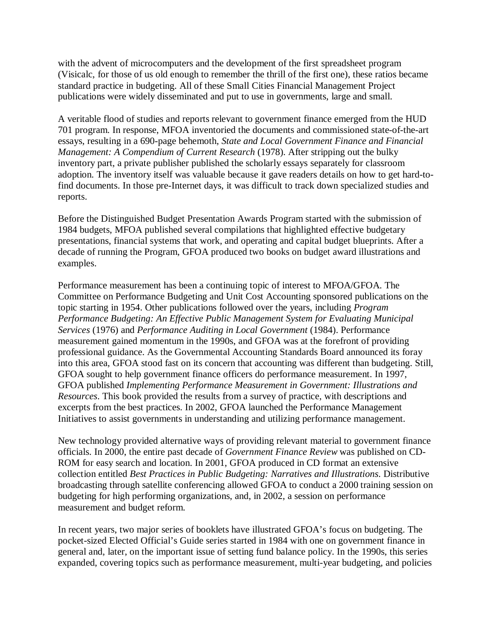with the advent of microcomputers and the development of the first spreadsheet program (Visicalc, for those of us old enough to remember the thrill of the first one), these ratios became standard practice in budgeting. All of these Small Cities Financial Management Project publications were widely disseminated and put to use in governments, large and small.

A veritable flood of studies and reports relevant to government finance emerged from the HUD 701 program. In response, MFOA inventoried the documents and commissioned state-of-the-art essays, resulting in a 690-page behemoth, *State and Local Government Finance and Financial Management: A Compendium of Current Research* (1978). After stripping out the bulky inventory part, a private publisher published the scholarly essays separately for classroom adoption. The inventory itself was valuable because it gave readers details on how to get hard-tofind documents. In those pre-Internet days, it was difficult to track down specialized studies and reports.

Before the Distinguished Budget Presentation Awards Program started with the submission of 1984 budgets, MFOA published several compilations that highlighted effective budgetary presentations, financial systems that work, and operating and capital budget blueprints. After a decade of running the Program, GFOA produced two books on budget award illustrations and examples.

Performance measurement has been a continuing topic of interest to MFOA/GFOA. The Committee on Performance Budgeting and Unit Cost Accounting sponsored publications on the topic starting in 1954. Other publications followed over the years, including *Program Performance Budgeting: An Effective Public Management System for Evaluating Municipal Services* (1976) and *Performance Auditing in Local Government* (1984). Performance measurement gained momentum in the 1990s, and GFOA was at the forefront of providing professional guidance. As the Governmental Accounting Standards Board announced its foray into this area, GFOA stood fast on its concern that accounting was different than budgeting. Still, GFOA sought to help government finance officers do performance measurement. In 1997, GFOA published *Implementing Performance Measurement in Government: Illustrations and Resources*. This book provided the results from a survey of practice, with descriptions and excerpts from the best practices. In 2002, GFOA launched the Performance Management Initiatives to assist governments in understanding and utilizing performance management.

New technology provided alternative ways of providing relevant material to government finance officials. In 2000, the entire past decade of *Government Finance Review* was published on CD-ROM for easy search and location. In 2001, GFOA produced in CD format an extensive collection entitled *Best Practices in Public Budgeting: Narratives and Illustrations*. Distributive broadcasting through satellite conferencing allowed GFOA to conduct a 2000 training session on budgeting for high performing organizations, and, in 2002, a session on performance measurement and budget reform.

In recent years, two major series of booklets have illustrated GFOA's focus on budgeting. The pocket-sized Elected Official's Guide series started in 1984 with one on government finance in general and, later, on the important issue of setting fund balance policy. In the 1990s, this series expanded, covering topics such as performance measurement, multi-year budgeting, and policies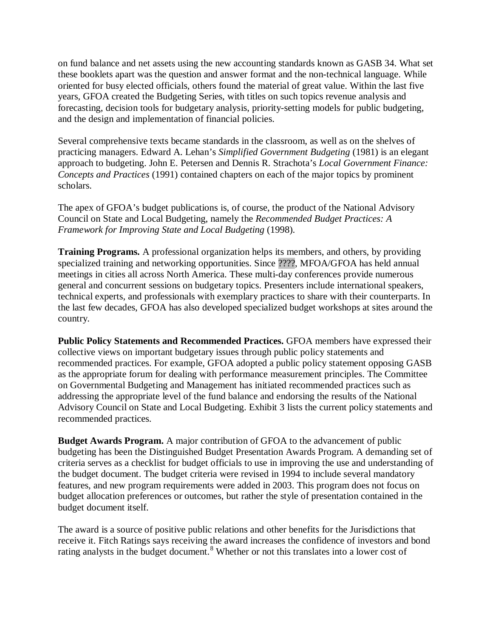on fund balance and net assets using the new accounting standards known as GASB 34. What set these booklets apart was the question and answer format and the non-technical language. While oriented for busy elected officials, others found the material of great value. Within the last five years, GFOA created the Budgeting Series, with titles on such topics revenue analysis and forecasting, decision tools for budgetary analysis, priority-setting models for public budgeting, and the design and implementation of financial policies.

Several comprehensive texts became standards in the classroom, as well as on the shelves of practicing managers. Edward A. Lehan's *Simplified Government Budgeting* (1981) is an elegant approach to budgeting. John E. Petersen and Dennis R. Strachota's *Local Government Finance: Concepts and Practices* (1991) contained chapters on each of the major topics by prominent scholars.

The apex of GFOA's budget publications is, of course, the product of the National Advisory Council on State and Local Budgeting, namely the *Recommended Budget Practices: A Framework for Improving State and Local Budgeting* (1998).

**Training Programs.** A professional organization helps its members, and others, by providing specialized training and networking opportunities. Since ????, MFOA/GFOA has held annual meetings in cities all across North America. These multi-day conferences provide numerous general and concurrent sessions on budgetary topics. Presenters include international speakers, technical experts, and professionals with exemplary practices to share with their counterparts. In the last few decades, GFOA has also developed specialized budget workshops at sites around the country.

**Public Policy Statements and Recommended Practices.** GFOA members have expressed their collective views on important budgetary issues through public policy statements and recommended practices. For example, GFOA adopted a public policy statement opposing GASB as the appropriate forum for dealing with performance measurement principles. The Committee on Governmental Budgeting and Management has initiated recommended practices such as addressing the appropriate level of the fund balance and endorsing the results of the National Advisory Council on State and Local Budgeting. Exhibit 3 lists the current policy statements and recommended practices.

**Budget Awards Program.** A major contribution of GFOA to the advancement of public budgeting has been the Distinguished Budget Presentation Awards Program. A demanding set of criteria serves as a checklist for budget officials to use in improving the use and understanding of the budget document. The budget criteria were revised in 1994 to include several mandatory features, and new program requirements were added in 2003. This program does not focus on budget allocation preferences or outcomes, but rather the style of presentation contained in the budget document itself.

The award is a source of positive public relations and other benefits for the Jurisdictions that receive it. Fitch Ratings says receiving the award increases the confidence of investors and bond rating analysts in the budget document.<sup>[8](#page-14-7)</sup> Whether or not this translates into a lower cost of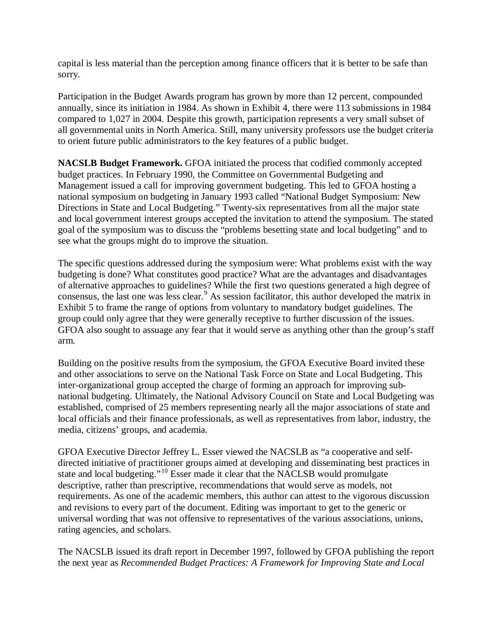capital is less material than the perception among finance officers that it is better to be safe than sorry.

Participation in the Budget Awards program has grown by more than 12 percent, compounded annually, since its initiation in 1984. As shown in Exhibit 4, there were 113 submissions in 1984 compared to 1,027 in 2004. Despite this growth, participation represents a very small subset of all governmental units in North America. Still, many university professors use the budget criteria to orient future public administrators to the key features of a public budget.

**NACSLB Budget Framework.** GFOA initiated the process that codified commonly accepted budget practices. In February 1990, the Committee on Governmental Budgeting and Management issued a call for improving government budgeting. This led to GFOA hosting a national symposium on budgeting in January 1993 called "National Budget Symposium: New Directions in State and Local Budgeting." Twenty-six representatives from all the major state and local government interest groups accepted the invitation to attend the symposium. The stated goal of the symposium was to discuss the "problems besetting state and local budgeting" and to see what the groups might do to improve the situation.

The specific questions addressed during the symposium were: What problems exist with the way budgeting is done? What constitutes good practice? What are the advantages and disadvantages of alternative approaches to guidelines? While the first two questions generated a high degree of consensus, the last one was less clear.[9](#page-14-8) As session facilitator, this author developed the matrix in Exhibit 5 to frame the range of options from voluntary to mandatory budget guidelines. The group could only agree that they were generally receptive to further discussion of the issues. GFOA also sought to assuage any fear that it would serve as anything other than the group's staff arm.

Building on the positive results from the symposium, the GFOA Executive Board invited these and other associations to serve on the National Task Force on State and Local Budgeting. This inter-organizational group accepted the charge of forming an approach for improving subnational budgeting. Ultimately, the National Advisory Council on State and Local Budgeting was established, comprised of 25 members representing nearly all the major associations of state and local officials and their finance professionals, as well as representatives from labor, industry, the media, citizens' groups, and academia.

GFOA Executive Director Jeffrey L. Esser viewed the NACSLB as "a cooperative and selfdirected initiative of practitioner groups aimed at developing and disseminating best practices in state and local budgeting."[10](#page-14-9) Esser made it clear that the NACLSB would promulgate descriptive, rather than prescriptive, recommendations that would serve as models, not requirements. As one of the academic members, this author can attest to the vigorous discussion and revisions to every part of the document. Editing was important to get to the generic or universal wording that was not offensive to representatives of the various associations, unions, rating agencies, and scholars.

The NACSLB issued its draft report in December 1997, followed by GFOA publishing the report the next year as *Recommended Budget Practices: A Framework for Improving State and Local*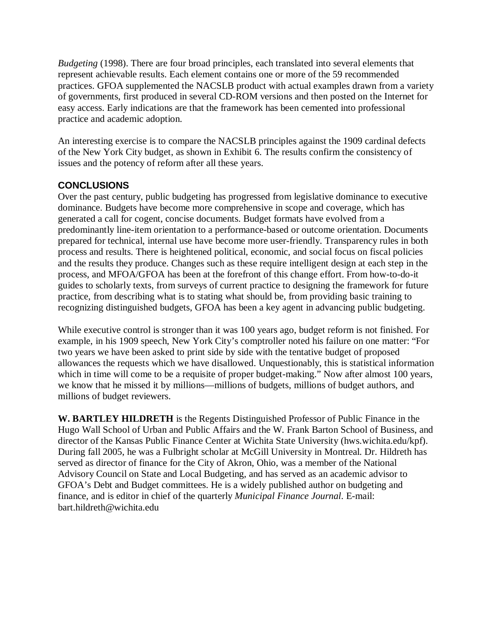*Budgeting* (1998). There are four broad principles, each translated into several elements that represent achievable results. Each element contains one or more of the 59 recommended practices. GFOA supplemented the NACSLB product with actual examples drawn from a variety of governments, first produced in several CD-ROM versions and then posted on the Internet for easy access. Early indications are that the framework has been cemented into professional practice and academic adoption.

An interesting exercise is to compare the NACSLB principles against the 1909 cardinal defects of the New York City budget, as shown in Exhibit 6. The results confirm the consistency of issues and the potency of reform after all these years.

# **CONCLUSIONS**

Over the past century, public budgeting has progressed from legislative dominance to executive dominance. Budgets have become more comprehensive in scope and coverage, which has generated a call for cogent, concise documents. Budget formats have evolved from a predominantly line-item orientation to a performance-based or outcome orientation. Documents prepared for technical, internal use have become more user-friendly. Transparency rules in both process and results. There is heightened political, economic, and social focus on fiscal policies and the results they produce. Changes such as these require intelligent design at each step in the process, and MFOA/GFOA has been at the forefront of this change effort. From how-to-do-it guides to scholarly texts, from surveys of current practice to designing the framework for future practice, from describing what is to stating what should be, from providing basic training to recognizing distinguished budgets, GFOA has been a key agent in advancing public budgeting.

While executive control is stronger than it was 100 years ago, budget reform is not finished. For example, in his 1909 speech, New York City's comptroller noted his failure on one matter: "For two years we have been asked to print side by side with the tentative budget of proposed allowances the requests which we have disallowed. Unquestionably, this is statistical information which in time will come to be a requisite of proper budget-making." Now after almost 100 years, we know that he missed it by millions—millions of budgets, millions of budget authors, and millions of budget reviewers.

**W. BARTLEY HILDRETH** is the Regents Distinguished Professor of Public Finance in the Hugo Wall School of Urban and Public Affairs and the W. Frank Barton School of Business, and director of the Kansas Public Finance Center at Wichita State University (hws.wichita.edu/kpf). During fall 2005, he was a Fulbright scholar at McGill University in Montreal. Dr. Hildreth has served as director of finance for the City of Akron, Ohio, was a member of the National Advisory Council on State and Local Budgeting, and has served as an academic advisor to GFOA's Debt and Budget committees. He is a widely published author on budgeting and finance, and is editor in chief of the quarterly *Municipal Finance Journal*. E-mail: bart.hildreth@wichita.edu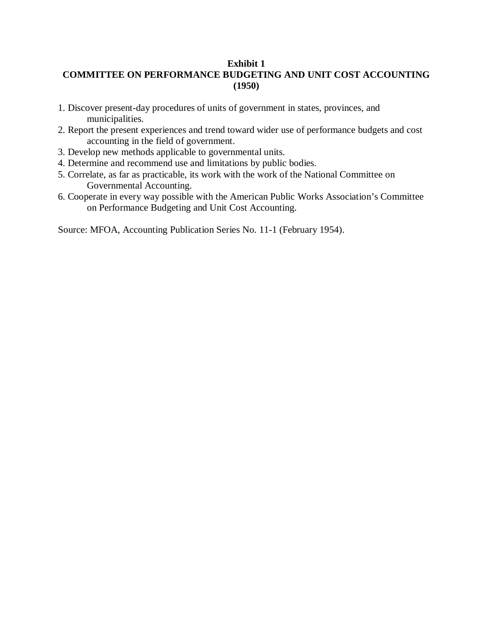## **Exhibit 1 COMMITTEE ON PERFORMANCE BUDGETING AND UNIT COST ACCOUNTING (1950)**

- 1. Discover present-day procedures of units of government in states, provinces, and municipalities.
- 2. Report the present experiences and trend toward wider use of performance budgets and cost accounting in the field of government.
- 3. Develop new methods applicable to governmental units.
- 4. Determine and recommend use and limitations by public bodies.
- 5. Correlate, as far as practicable, its work with the work of the National Committee on Governmental Accounting.
- 6. Cooperate in every way possible with the American Public Works Association's Committee on Performance Budgeting and Unit Cost Accounting.

Source: MFOA, Accounting Publication Series No. 11-1 (February 1954).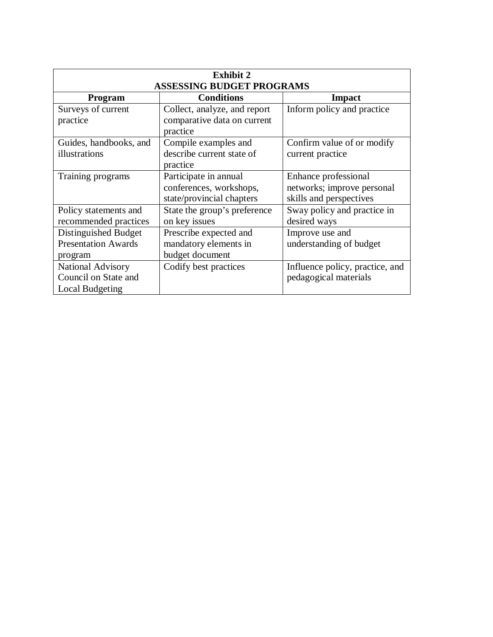| <b>Exhibit 2</b><br><b>ASSESSING BUDGET PROGRAMS</b> |                              |                                 |  |  |
|------------------------------------------------------|------------------------------|---------------------------------|--|--|
| <b>Program</b>                                       | <b>Conditions</b>            | Impact                          |  |  |
| Surveys of current                                   | Collect, analyze, and report | Inform policy and practice      |  |  |
| practice                                             | comparative data on current  |                                 |  |  |
|                                                      | practice                     |                                 |  |  |
| Guides, handbooks, and                               | Compile examples and         | Confirm value of or modify      |  |  |
| illustrations                                        | describe current state of    | current practice                |  |  |
|                                                      | practice                     |                                 |  |  |
| Training programs                                    | Participate in annual        | Enhance professional            |  |  |
|                                                      | conferences, workshops,      | networks; improve personal      |  |  |
|                                                      | state/provincial chapters    | skills and perspectives         |  |  |
| Policy statements and                                | State the group's preference | Sway policy and practice in     |  |  |
| recommended practices                                | on key issues                | desired ways                    |  |  |
| Distinguished Budget                                 | Prescribe expected and       | Improve use and                 |  |  |
| <b>Presentation Awards</b>                           | mandatory elements in        | understanding of budget         |  |  |
| program                                              | budget document              |                                 |  |  |
| <b>National Advisory</b>                             | Codify best practices        | Influence policy, practice, and |  |  |
| Council on State and                                 |                              | pedagogical materials           |  |  |
| Local Budgeting                                      |                              |                                 |  |  |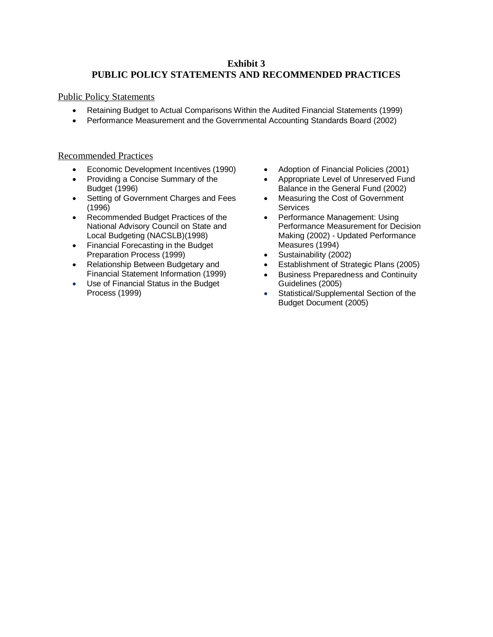## **Exhibit 3 PUBLIC POLICY STATEMENTS AND RECOMMENDED PRACTICES**

#### Public Policy Statements

- Retaining Budget to Actual Comparisons Within the Audited Financial Statements (1999)
- Performance Measurement and the Governmental Accounting Standards Board (2002)

### Recommended Practices

- Economic Development Incentives (1990)
- Providing a Concise Summary of the Budget (1996)
- Setting of Government Charges and Fees (1996)
- Recommended Budget Practices of the National Advisory Council on State and Local Budgeting (NACSLB)(1998)
- Financial Forecasting in the Budget Preparation Process (1999)
- Relationship Between Budgetary and Financial Statement Information (1999)
- Use of Financial Status in the Budget Process (1999)
- Adoption of Financial Policies (2001)
- Appropriate Level of Unreserved Fund Balance in the General Fund (2002)
- Measuring the Cost of Government **Services**
- Performance Management: Using Performance Measurement for Decision Making (2002) - Updated Performance Measures (1994)
- Sustainability (2002)
- Establishment of Strategic Plans (2005)
- Business Preparedness and Continuity Guidelines (2005)
- Statistical/Supplemental Section of the Budget Document (2005)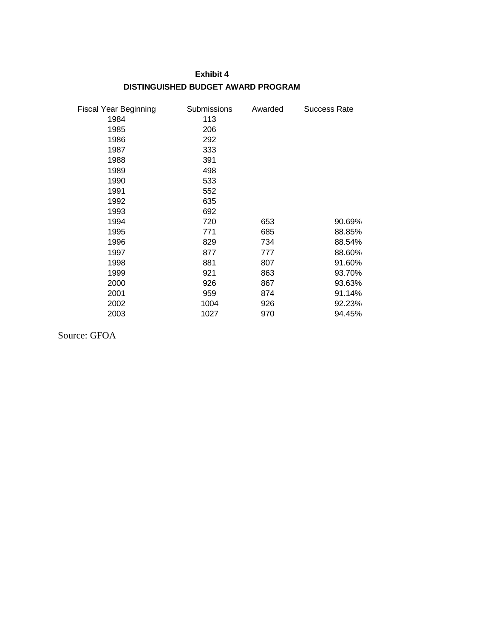#### **Exhibit 4**

## **DISTINGUISHED BUDGET AWARD PROGRAM**

| <b>Fiscal Year Beginning</b> | Submissions | Awarded | Success Rate |
|------------------------------|-------------|---------|--------------|
| 1984                         | 113         |         |              |
| 1985                         | 206         |         |              |
| 1986                         | 292         |         |              |
| 1987                         | 333         |         |              |
| 1988                         | 391         |         |              |
| 1989                         | 498         |         |              |
| 1990                         | 533         |         |              |
| 1991                         | 552         |         |              |
| 1992                         | 635         |         |              |
| 1993                         | 692         |         |              |
| 1994                         | 720         | 653     | 90.69%       |
| 1995                         | 771         | 685     | 88.85%       |
| 1996                         | 829         | 734     | 88.54%       |
| 1997                         | 877         | 777     | 88.60%       |
| 1998                         | 881         | 807     | 91.60%       |
| 1999                         | 921         | 863     | 93.70%       |
| 2000                         | 926         | 867     | 93.63%       |
| 2001                         | 959         | 874     | 91.14%       |
| 2002                         | 1004        | 926     | 92.23%       |
| 2003                         | 1027        | 970     | 94.45%       |

Source: GFOA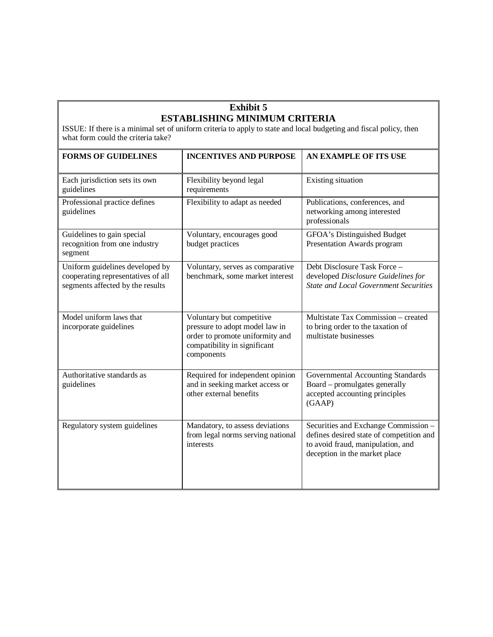## **Exhibit 5 ESTABLISHING MINIMUM CRITERIA**

ISSUE: If there is a minimal set of uniform criteria to apply to state and local budgeting and fiscal policy, then what form could the criteria take?

| <b>FORMS OF GUIDELINES</b>                                                                                | <b>INCENTIVES AND PURPOSE</b>                                                                                                                | AN EXAMPLE OF ITS USE                                                                                                                                  |
|-----------------------------------------------------------------------------------------------------------|----------------------------------------------------------------------------------------------------------------------------------------------|--------------------------------------------------------------------------------------------------------------------------------------------------------|
| Each jurisdiction sets its own<br>guidelines                                                              | Flexibility beyond legal<br>requirements                                                                                                     | Existing situation                                                                                                                                     |
| Professional practice defines<br>guidelines                                                               | Flexibility to adapt as needed                                                                                                               | Publications, conferences, and<br>networking among interested<br>professionals                                                                         |
| Guidelines to gain special<br>recognition from one industry<br>segment                                    | Voluntary, encourages good<br>budget practices                                                                                               | GFOA's Distinguished Budget<br>Presentation Awards program                                                                                             |
| Uniform guidelines developed by<br>cooperating representatives of all<br>segments affected by the results | Voluntary, serves as comparative<br>benchmark, some market interest                                                                          | Debt Disclosure Task Force -<br>developed Disclosure Guidelines for<br><b>State and Local Government Securities</b>                                    |
| Model uniform laws that<br>incorporate guidelines                                                         | Voluntary but competitive<br>pressure to adopt model law in<br>order to promote uniformity and<br>compatibility in significant<br>components | Multistate Tax Commission - created<br>to bring order to the taxation of<br>multistate businesses                                                      |
| Authoritative standards as<br>guidelines                                                                  | Required for independent opinion<br>and in seeking market access or<br>other external benefits                                               | Governmental Accounting Standards<br>Board – promulgates generally<br>accepted accounting principles<br>(GAAP)                                         |
| Regulatory system guidelines                                                                              | Mandatory, to assess deviations<br>from legal norms serving national<br>interests                                                            | Securities and Exchange Commission -<br>defines desired state of competition and<br>to avoid fraud, manipulation, and<br>deception in the market place |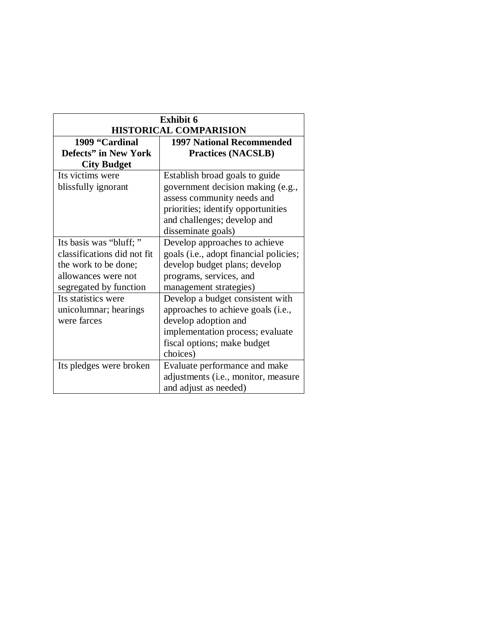| <b>Exhibit 6</b>              |                                        |  |  |  |
|-------------------------------|----------------------------------------|--|--|--|
| <b>HISTORICAL COMPARISION</b> |                                        |  |  |  |
| 1909 "Cardinal                | <b>1997 National Recommended</b>       |  |  |  |
| <b>Defects" in New York</b>   | <b>Practices (NACSLB)</b>              |  |  |  |
| <b>City Budget</b>            |                                        |  |  |  |
| Its victims were              | Establish broad goals to guide         |  |  |  |
| blissfully ignorant           | government decision making (e.g.,      |  |  |  |
|                               | assess community needs and             |  |  |  |
|                               | priorities; identify opportunities     |  |  |  |
|                               | and challenges; develop and            |  |  |  |
|                               | disseminate goals)                     |  |  |  |
| Its basis was "bluff;"        | Develop approaches to achieve          |  |  |  |
| classifications did not fit   | goals (i.e., adopt financial policies; |  |  |  |
| the work to be done;          | develop budget plans; develop          |  |  |  |
| allowances were not           | programs, services, and                |  |  |  |
| segregated by function        | management strategies)                 |  |  |  |
| Its statistics were           | Develop a budget consistent with       |  |  |  |
| unicolumnar; hearings         | approaches to achieve goals (i.e.,     |  |  |  |
| were farces                   | develop adoption and                   |  |  |  |
|                               | implementation process; evaluate       |  |  |  |
|                               | fiscal options; make budget            |  |  |  |
|                               | choices)                               |  |  |  |
| Its pledges were broken       | Evaluate performance and make          |  |  |  |
|                               | adjustments (i.e., monitor, measure    |  |  |  |
|                               | and adjust as needed)                  |  |  |  |